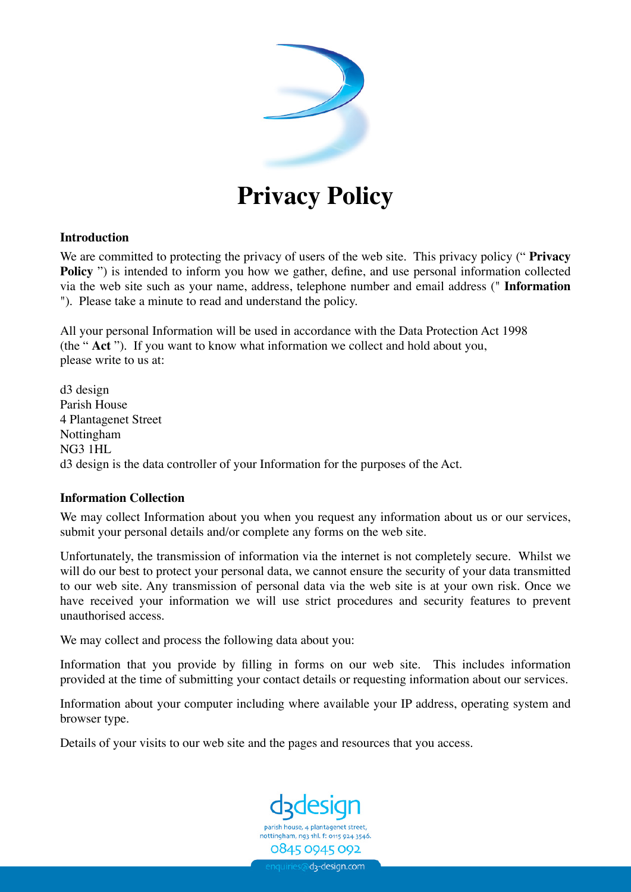

# **Privacy Policy**

#### **Introduction**

We are committed to protecting the privacy of users of the web site. This privacy policy (" **Privacy Policy** ") is intended to inform you how we gather, define, and use personal information collected via the web site such as your name, address, telephone number and email address (" **Information** "). Please take a minute to read and understand the policy.

All your personal Information will be used in accordance with the Data Protection Act 1998 (the " **Act** "). If you want to know what information we collect and hold about you, please write to us at:

d3 design Parish House 4 Plantagenet Street Nottingham NG3 1HL d3 design is the data controller of your Information for the purposes of the Act.

## **Information Collection**

We may collect Information about you when you request any information about us or our services, submit your personal details and/or complete any forms on the web site.

Unfortunately, the transmission of information via the internet is not completely secure. Whilst we will do our best to protect your personal data, we cannot ensure the security of your data transmitted to our web site. Any transmission of personal data via the web site is at your own risk. Once we have received your information we will use strict procedures and security features to prevent unauthorised access.

We may collect and process the following data about you:

Information that you provide by filling in forms on our web site. This includes information provided at the time of submitting your contact details or requesting information about our services.

Information about your computer including where available your IP address, operating system and browser type.

Details of your visits to our web site and the pages and resources that you access.